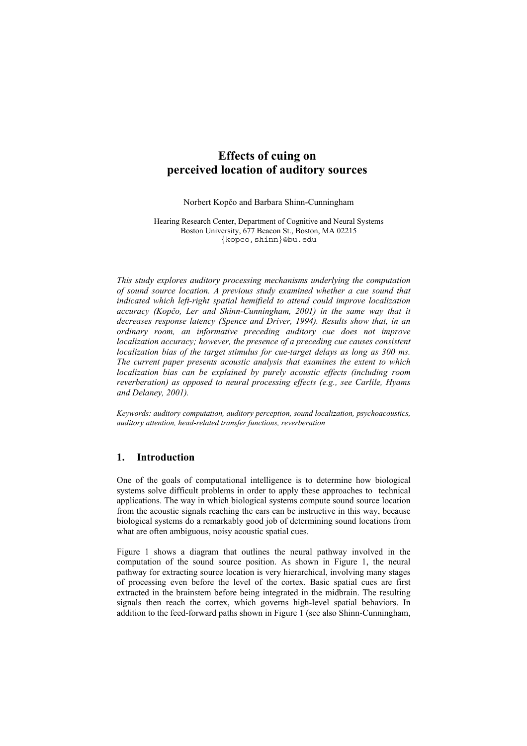# **Effects of cuing on perceived location of auditory sources**

Norbert Kopčo and Barbara Shinn-Cunningham

Hearing Research Center, Department of Cognitive and Neural Systems Boston University, 677 Beacon St., Boston, MA 02215 {kopco,shinn}@bu.edu

*This study explores auditory processing mechanisms underlying the computation of sound source location. A previous study examined whether a cue sound that indicated which left-right spatial hemifield to attend could improve localization accuracy (Kopčo, Ler and Shinn-Cunningham, 2001) in the same way that it decreases response latency (Spence and Driver, 1994). Results show that, in an ordinary room, an informative preceding auditory cue does not improve localization accuracy; however, the presence of a preceding cue causes consistent localization bias of the target stimulus for cue-target delays as long as 300 ms. The current paper presents acoustic analysis that examines the extent to which localization bias can be explained by purely acoustic effects (including room reverberation) as opposed to neural processing effects (e.g., see Carlile, Hyams and Delaney, 2001).*

*Keywords: auditory computation, auditory perception, sound localization, psychoacoustics, auditory attention, head-related transfer functions, reverberation* 

#### **1. Introduction**

One of the goals of computational intelligence is to determine how biological systems solve difficult problems in order to apply these approaches to technical applications. The way in which biological systems compute sound source location from the acoustic signals reaching the ears can be instructive in this way, because biological systems do a remarkably good job of determining sound locations from what are often ambiguous, noisy acoustic spatial cues.

Figure 1 shows a diagram that outlines the neural pathway involved in the computation of the sound source position. As shown in Figure 1, the neural pathway for extracting source location is very hierarchical, involving many stages of processing even before the level of the cortex. Basic spatial cues are first extracted in the brainstem before being integrated in the midbrain. The resulting signals then reach the cortex, which governs high-level spatial behaviors. In addition to the feed-forward paths shown in Figure 1 (see also Shinn-Cunningham,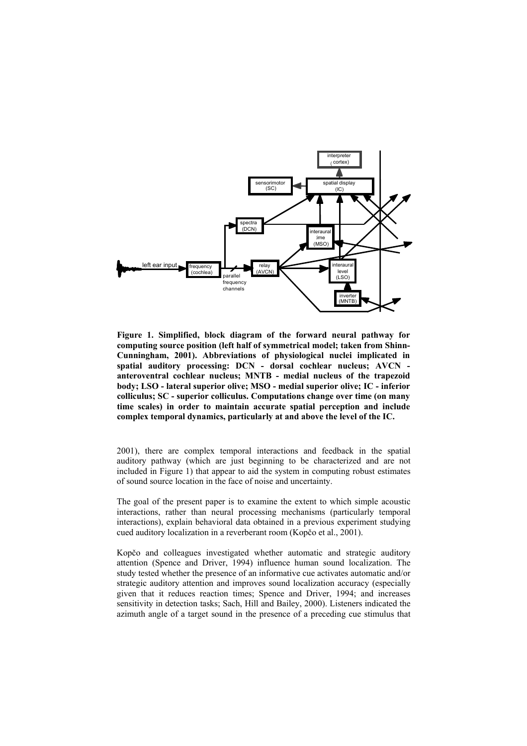

**Figure 1. Simplified, block diagram of the forward neural pathway for computing source position (left half of symmetrical model; taken from Shinn-Cunningham, 2001). Abbreviations of physiological nuclei implicated in spatial auditory processing: DCN - dorsal cochlear nucleus; AVCN anteroventral cochlear nucleus; MNTB - medial nucleus of the trapezoid body; LSO - lateral superior olive; MSO - medial superior olive; IC - inferior colliculus; SC - superior colliculus. Computations change over time (on many time scales) in order to maintain accurate spatial perception and include complex temporal dynamics, particularly at and above the level of the IC.**

2001), there are complex temporal interactions and feedback in the spatial auditory pathway (which are just beginning to be characterized and are not included in Figure 1) that appear to aid the system in computing robust estimates of sound source location in the face of noise and uncertainty.

The goal of the present paper is to examine the extent to which simple acoustic interactions, rather than neural processing mechanisms (particularly temporal interactions), explain behavioral data obtained in a previous experiment studying cued auditory localization in a reverberant room (Kopčo et al., 2001).

Kopčo and colleagues investigated whether automatic and strategic auditory attention (Spence and Driver, 1994) influence human sound localization. The study tested whether the presence of an informative cue activates automatic and/or strategic auditory attention and improves sound localization accuracy (especially given that it reduces reaction times; Spence and Driver, 1994; and increases sensitivity in detection tasks; Sach, Hill and Bailey, 2000). Listeners indicated the azimuth angle of a target sound in the presence of a preceding cue stimulus that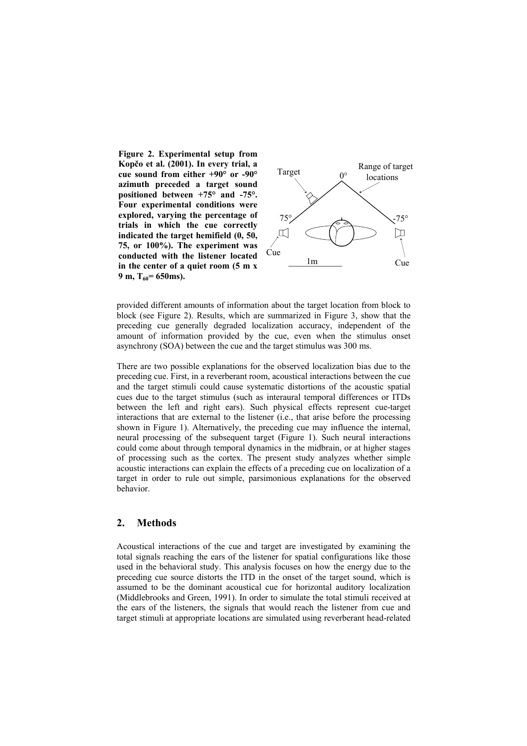**Figure 2. Experimental setup from Kopčo et al. (2001). In every trial, a cue sound from either +90° or -90° azimuth preceded a target sound positioned between +75° and -75°. Four experimental conditions were explored, varying the percentage of trials in which the cue correctly indicated the target hemifield (0, 50, 75, or 100%). The experiment was conducted with the listener located in the center of a quiet room (5 m x**  $9 \text{ m}, T_{60} = 650 \text{ ms}.$ 



provided different amounts of information about the target location from block to block (see Figure 2). Results, which are summarized in Figure 3, show that the preceding cue generally degraded localization accuracy, independent of the amount of information provided by the cue, even when the stimulus onset asynchrony (SOA) between the cue and the target stimulus was 300 ms.

There are two possible explanations for the observed localization bias due to the preceding cue. First, in a reverberant room, acoustical interactions between the cue and the target stimuli could cause systematic distortions of the acoustic spatial cues due to the target stimulus (such as interaural temporal differences or ITDs between the left and right ears). Such physical effects represent cue-target interactions that are external to the listener (i.e., that arise before the processing shown in Figure 1). Alternatively, the preceding cue may influence the internal, neural processing of the subsequent target (Figure 1). Such neural interactions could come about through temporal dynamics in the midbrain, or at higher stages of processing such as the cortex. The present study analyzes whether simple acoustic interactions can explain the effects of a preceding cue on localization of a target in order to rule out simple, parsimonious explanations for the observed behavior.

## **2. Methods**

Acoustical interactions of the cue and target are investigated by examining the total signals reaching the ears of the listener for spatial configurations like those used in the behavioral study. This analysis focuses on how the energy due to the preceding cue source distorts the ITD in the onset of the target sound, which is assumed to be the dominant acoustical cue for horizontal auditory localization (Middlebrooks and Green, 1991). In order to simulate the total stimuli received at the ears of the listeners, the signals that would reach the listener from cue and target stimuli at appropriate locations are simulated using reverberant head-related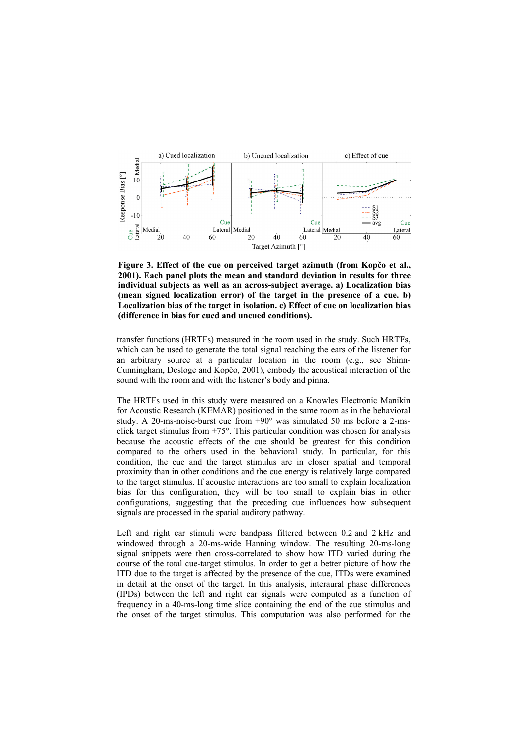

**Figure 3. Effect of the cue on perceived target azimuth (from Kopčo et al., 2001). Each panel plots the mean and standard deviation in results for three individual subjects as well as an across-subject average. a) Localization bias (mean signed localization error) of the target in the presence of a cue. b) Localization bias of the target in isolation. c) Effect of cue on localization bias (difference in bias for cued and uncued conditions).**

transfer functions (HRTFs) measured in the room used in the study. Such HRTFs, which can be used to generate the total signal reaching the ears of the listener for an arbitrary source at a particular location in the room (e.g., see Shinn-Cunningham, Desloge and Kopčo, 2001), embody the acoustical interaction of the sound with the room and with the listener's body and pinna.

The HRTFs used in this study were measured on a Knowles Electronic Manikin for Acoustic Research (KEMAR) positioned in the same room as in the behavioral study. A 20-ms-noise-burst cue from +90° was simulated 50 ms before a 2-msclick target stimulus from  $+75^\circ$ . This particular condition was chosen for analysis because the acoustic effects of the cue should be greatest for this condition compared to the others used in the behavioral study. In particular, for this condition, the cue and the target stimulus are in closer spatial and temporal proximity than in other conditions and the cue energy is relatively large compared to the target stimulus. If acoustic interactions are too small to explain localization bias for this configuration, they will be too small to explain bias in other configurations, suggesting that the preceding cue influences how subsequent signals are processed in the spatial auditory pathway.

Left and right ear stimuli were bandpass filtered between 0.2 and 2 kHz and windowed through a 20-ms-wide Hanning window. The resulting 20-ms-long signal snippets were then cross-correlated to show how ITD varied during the course of the total cue-target stimulus. In order to get a better picture of how the ITD due to the target is affected by the presence of the cue, ITDs were examined in detail at the onset of the target. In this analysis, interaural phase differences (IPDs) between the left and right ear signals were computed as a function of frequency in a 40-ms-long time slice containing the end of the cue stimulus and the onset of the target stimulus. This computation was also performed for the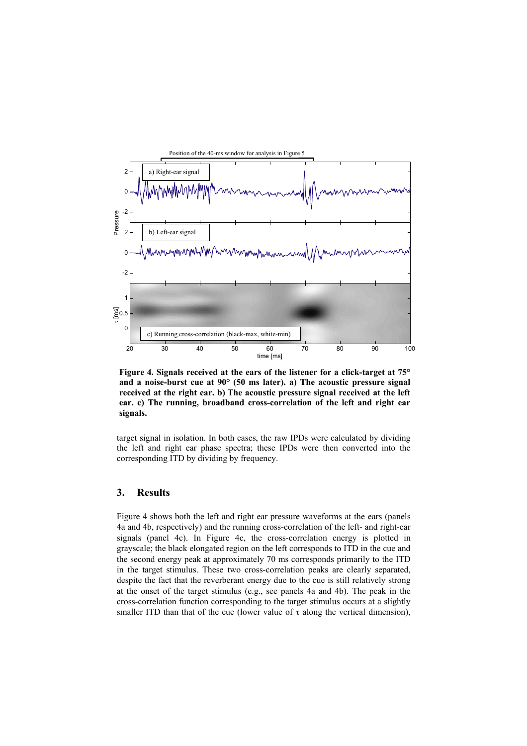

**Figure 4. Signals received at the ears of the listener for a click-target at 75° and a noise-burst cue at 90° (50 ms later). a) The acoustic pressure signal received at the right ear. b) The acoustic pressure signal received at the left ear. c) The running, broadband cross-correlation of the left and right ear signals.**

target signal in isolation. In both cases, the raw IPDs were calculated by dividing the left and right ear phase spectra; these IPDs were then converted into the corresponding ITD by dividing by frequency.

### **3. Results**

Figure 4 shows both the left and right ear pressure waveforms at the ears (panels 4a and 4b, respectively) and the running cross-correlation of the left- and right-ear signals (panel 4c). In Figure 4c, the cross-correlation energy is plotted in grayscale; the black elongated region on the left corresponds to ITD in the cue and the second energy peak at approximately 70 ms corresponds primarily to the ITD in the target stimulus. These two cross-correlation peaks are clearly separated, despite the fact that the reverberant energy due to the cue is still relatively strong at the onset of the target stimulus (e.g., see panels 4a and 4b). The peak in the cross-correlation function corresponding to the target stimulus occurs at a slightly smaller ITD than that of the cue (lower value of  $\tau$  along the vertical dimension),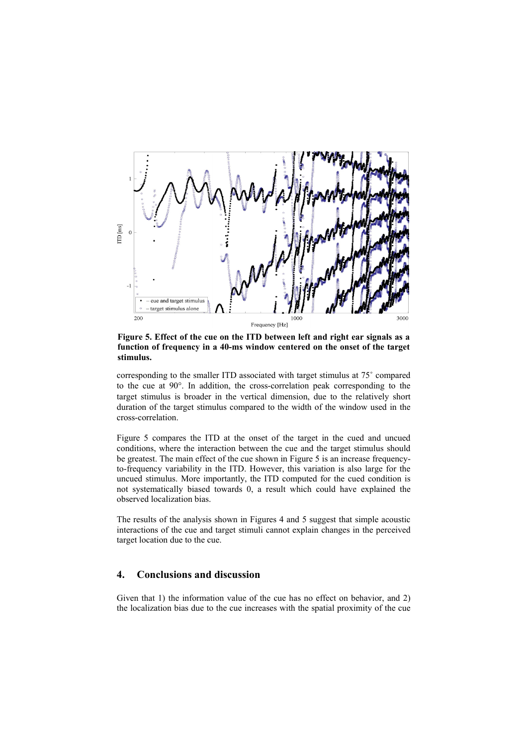

**Figure 5. Effect of the cue on the ITD between left and right ear signals as a function of frequency in a 40-ms window centered on the onset of the target stimulus.**

corresponding to the smaller ITD associated with target stimulus at 75˚ compared to the cue at 90°. In addition, the cross-correlation peak corresponding to the target stimulus is broader in the vertical dimension, due to the relatively short duration of the target stimulus compared to the width of the window used in the cross-correlation.

Figure 5 compares the ITD at the onset of the target in the cued and uncued conditions, where the interaction between the cue and the target stimulus should be greatest. The main effect of the cue shown in Figure 5 is an increase frequencyto-frequency variability in the ITD. However, this variation is also large for the uncued stimulus. More importantly, the ITD computed for the cued condition is not systematically biased towards 0, a result which could have explained the observed localization bias.

The results of the analysis shown in Figures 4 and 5 suggest that simple acoustic interactions of the cue and target stimuli cannot explain changes in the perceived target location due to the cue.

### **4. Conclusions and discussion**

Given that 1) the information value of the cue has no effect on behavior, and 2) the localization bias due to the cue increases with the spatial proximity of the cue